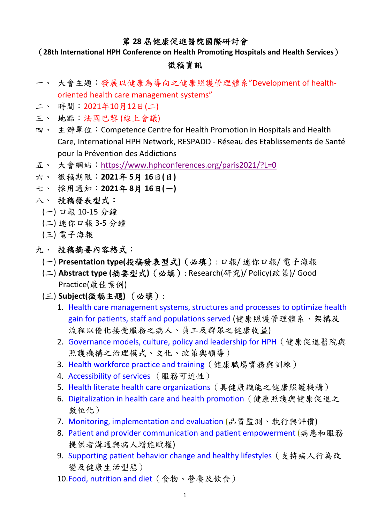## 第 **28** 屆健康促進醫院國際研討會

(**28th International HPH Conference on Health Promoting Hospitals and Health Services**)

## 徵稿資訊

- 一、 大會主題:發展以健康為導向之健康照護管理體系"Development of health‐ oriented health care management systems"
- 二、 時間:2021年10月12日(二)
- 三、 地點:法國巴黎 (線上會議)
- 四、 主辦單位: Competence Centre for Health Promotion in Hospitals and Health Care, International HPH Network, RESPADD ‐ Réseau des Etablissements de Santé pour la Prévention des Addictions
- 五、 大會網站: https://www.hphconferences.org/paris2021/?L=0
- 六、 徵稿期限:**2021**年 **5**月 **16**日**(**日**)**
- 七、 採用通知:**2021**年 **8**月 **16**日**(**一**)**
- 八、 投稿發表型式:
	- (一) 口報 10‐15 分鐘
	- (二) 迷你口報 3‐5 分鐘
	- (三) 電子海報
- 九、 投稿摘要內容格式:
	- (一) **Presentation type(**投稿發表型式**)**(必填): 口報/ 迷你口報/ 電子海報
	- (二) **Abstract type (**摘要型式**)**(必填): Research(研究)/ Policy(政策)/ Good Practice(最佳案例)
	- (三) **Subject(**徵稿主題**)** (必填):
		- 1. Health care management systems, structures and processes to optimize health gain for patients, staff and populations served (健康照護管理體系、架構及 流程以優化接受服務之病人、員工及群眾之健康收益)
		- 2. Governance models, culture, policy and leadership for HPH(健康促進醫院與 照護機構之治理模式、文化、政策與領導)
		- 3. Health workforce practice and training(健康職場實務與訓練)
		- 4. Accessibility of services (服務可近性)
		- 5. Health literate health care organizations(具健康識能之健康照護機構)
		- 6. Digitalization in health care and health promotion(健康照護與健康促進之 數位化)
		- 7. Monitoring, implementation and evaluation (品質監測、執行與評價)
		- 8. Patient and provider communication and patient empowerment (病患和服務 提供者溝通與病人增能賦權)
		- 9. Supporting patient behavior change and healthy lifestyles (支持病人行為改 變及健康生活型態)
		- 10.Food, nutrition and diet(食物、營養及飲食)